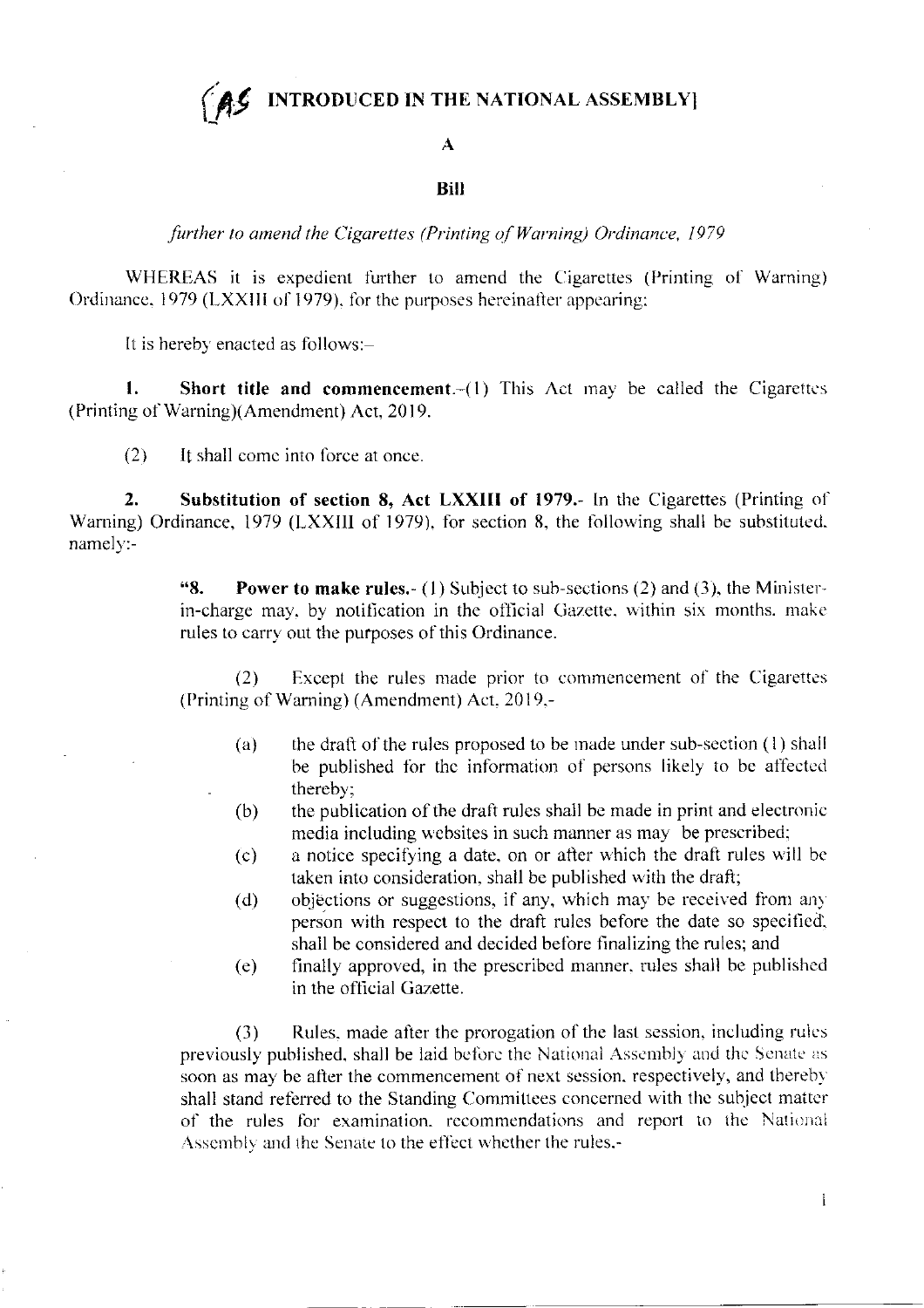**INTRODUCED IN THE NATIONAL ASSEMBLY** 

## $\mathbf{A}$

## **Bill**

further to amend the Cigarettes (Printing of Warning) Ordinance, 1979

WHEREAS it is expedient further to amend the Cigarettes (Printing of Warning) Ordinance, 1979 (LXXIII of 1979), for the purposes hereinafter appearing;

It is hereby enacted as follows:-

1. **Short title and commencement** $-(1)$  This Act may be called the Cigarettes (Printing of Warning)(Amendment) Act, 2019.

 $(2)$ It shall come into force at once.

 $2.$ Substitution of section 8, Act LXXIII of 1979.- In the Cigarettes (Printing of Warning) Ordinance, 1979 (LXXIII of 1979), for section 8, the following shall be substituted. namely:-

> $8.1$ **Power to make rules.** (1) Subject to sub-sections (2) and (3), the Ministerin-charge may, by notification in the official Gazette, within six months. make rules to carry out the purposes of this Ordinance.

> Except the rules made prior to commencement of the Cigarettes  $(2)$ (Printing of Warning) (Amendment) Act, 2019,-

- the draft of the rules proposed to be made under sub-section (1) shall  $(a)$ be published for the information of persons likely to be affected thereby:
- the publication of the draft rules shall be made in print and electronic  $(b)$ media including websites in such manner as may be prescribed;
- a notice specifying a date, on or after which the draft rules will be  $(c)$ taken into consideration, shall be published with the draft;
- objections or suggestions, if any, which may be received from any  $(d)$ person with respect to the draft rules before the date so specified. shall be considered and decided before finalizing the rules; and
- finally approved, in the prescribed manner, rules shall be published  $(e)$ in the official Gazette.

Rules, made after the prorogation of the last session, including rules  $(3)$ previously published, shall be laid before the National Assembly and the Senate as soon as may be after the commencement of next session, respectively, and thereby shall stand referred to the Standing Committees concerned with the subject matter of the rules for examination, recommendations and report to the National Assembly and the Senate to the effect whether the rules,-